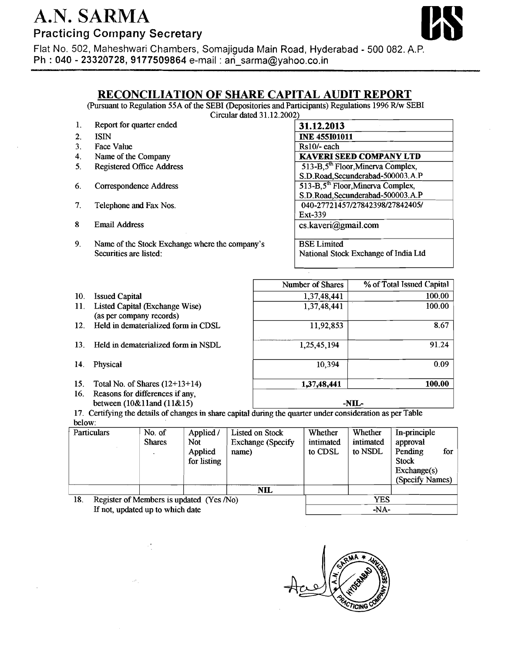## A.N. SARMA Practicing **Cornpany** Secretary

 $\frac{2}{3}$ .



I

Flat No. 502, Maheshwari Chambers, Somajiguda Main Road, Hyderabad - 500 082. A.P. **Ph** : **040** - **23320728, 9177509864** e-mail : ari-sarma@yahoo.co.in

## **RECONCILIATION OF SHARE CAPITAL AUDIT REPORT**

(Pursuant to Regulation 55A of the SEBI (Depositories and Participants) Regulations 1996 R/w SEBI -

Circular dated 31.12.2002)

| 1.               | Report for quarter ended                       | 31.12.2013                                    |
|------------------|------------------------------------------------|-----------------------------------------------|
| $\overline{2}$ . | <b>ISIN</b>                                    | <b>INE 455101011</b>                          |
| 3.               | Face Value                                     | $Rs10/-$ each                                 |
| 4.               | Name of the Company                            | <b>KAVERI SEED COMPANY LTD</b>                |
| 5.               | <b>Registered Office Address</b>               | 513-B,5 <sup>th</sup> Floor, Minerva Complex, |
|                  |                                                | S.D.Road, Secunderabad-500003.A.P             |
| 6.               | Correspondence Address                         | 513-B,5 <sup>th</sup> Floor, Minerva Complex, |
|                  |                                                | S.D.Road, Secunderabad-500003.A.P             |
| 7.               | Telephone and Fax Nos.                         | 040-27721457/27842398/27842405/               |
|                  |                                                | Ext-339                                       |
| 8                | <b>Email Address</b>                           | cs.kaveri@gmail.com                           |
|                  |                                                |                                               |
| 9.               | Name of the Stock Exchange where the company's | <b>BSE Limited</b>                            |
|                  | Securities are listed:                         | National Stock Exchange of India Ltd          |
|                  |                                                |                                               |

| <b>Issued Capital</b><br>10. |
|------------------------------|
|------------------------------|

11. Listed Capital (Exchange Wise) (as per company records)

12. Held in dematerialized form in CDSL

13. Held in dematerialized form in NSDL

- 14. Physical
- 15. Total No. of Shares (12+13+14)
- 16. Reasons for differences if any, between (10&11and (11&15)

| <b>Number of Shares</b> | % of Total Issued Capital |
|-------------------------|---------------------------|
| 1,37,48,441             | 100,00                    |
| ٠<br>1,37,48,441        | 100.00                    |
| 11,92,853               | 8.67                      |
| 1,25,45,194             | 91.24                     |
| 10,394                  | 0.09                      |
| 1,37,48,441             | 100.00                    |

**-NIL-**

17. Certifying the details of changes in share capital during the quarter under consideration as per Table below:

| ouuw. | Particulars                              | No. of        | Applied /   | Listed on Stock          | Whether   | Whether   | In-principle         |
|-------|------------------------------------------|---------------|-------------|--------------------------|-----------|-----------|----------------------|
|       |                                          |               |             |                          |           |           |                      |
|       |                                          | <b>Shares</b> | Not.        | <b>Exchange</b> (Specify | intimated | intimated | approval             |
|       |                                          |               | Applied     | name)                    | to CDSL   | to NSDL   | Pending<br>for       |
|       |                                          |               | for listing |                          |           |           | <b>Stock</b>         |
|       |                                          |               |             |                          |           |           | $\text{Exchange}(s)$ |
|       |                                          |               |             |                          |           |           | (Specify Names)      |
|       |                                          |               |             | NIL                      |           |           |                      |
| 18.   | Register of Members is updated (Yes /No) |               |             | YES                      |           |           |                      |
|       | If not, updated up to which date         |               |             |                          | $-NA-$    |           |                      |